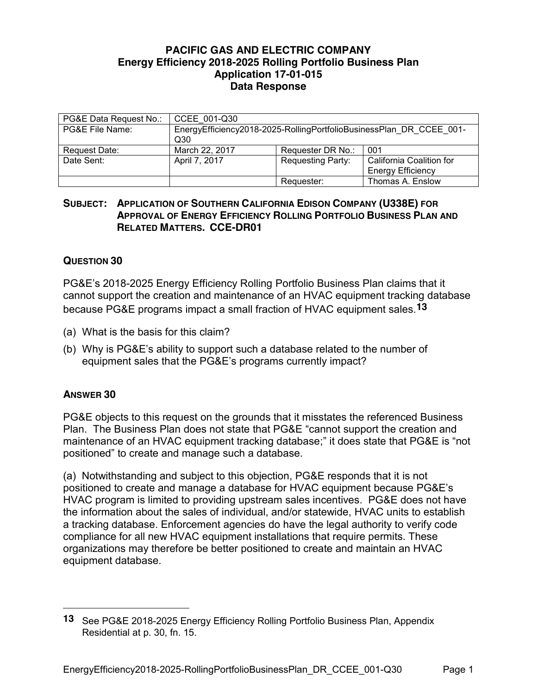## **PACIFIC GAS AND ELECTRIC COMPANY Energy Efficiency 2018-2025 Rolling Portfolio Business Plan Application 17-01-015 Data Response**

| PG&E Data Request No.: | CCEE 001-Q30                                                        |                          |                          |
|------------------------|---------------------------------------------------------------------|--------------------------|--------------------------|
|                        |                                                                     |                          |                          |
| PG&E File Name:        | EnergyEfficiency2018-2025-RollingPortfolioBusinessPlan DR CCEE 001- |                          |                          |
|                        | Q30                                                                 |                          |                          |
| Request Date:          | March 22, 2017                                                      | Requester DR No.:        | 001                      |
| Date Sent:             | April 7, 2017                                                       | <b>Requesting Party:</b> | California Coalition for |
|                        |                                                                     |                          | <b>Energy Efficiency</b> |
|                        |                                                                     | Requester:               | Thomas A. Enslow         |

## **SUBJECT: APPLICATION OF SOUTHERN CALIFORNIA EDISON COMPANY (U338E) FOR APPROVAL OF ENERGY EFFICIENCY ROLLING PORTFOLIO BUSINESS PLAN AND RELATED MATTERS. CCE-DR01**

## **QUESTION 30**

PG&E's 2018-2025 Energy Efficiency Rolling Portfolio Business Plan claims that it cannot support the creation and maintenance of an HVAC equipment tracking database because PG&E programs impact a small fraction of HVAC equipment sales.**13**

- (a) What is the basis for this claim?
- (b) Why is PG&E's ability to support such a database related to the number of equipment sales that the PG&E's programs currently impact?

## **ANSWER 30**

 $\overline{a}$ 

PG&E objects to this request on the grounds that it misstates the referenced Business Plan. The Business Plan does not state that PG&E "cannot support the creation and maintenance of an HVAC equipment tracking database;" it does state that PG&E is "not positioned" to create and manage such a database.

(a) Notwithstanding and subject to this objection, PG&E responds that it is not positioned to create and manage a database for HVAC equipment because PG&E's HVAC program is limited to providing upstream sales incentives. PG&E does not have the information about the sales of individual, and/or statewide, HVAC units to establish a tracking database. Enforcement agencies do have the legal authority to verify code compliance for all new HVAC equipment installations that require permits. These organizations may therefore be better positioned to create and maintain an HVAC equipment database.

**<sup>13</sup>** See PG&E 2018-2025 Energy Efficiency Rolling Portfolio Business Plan, Appendix Residential at p. 30, fn. 15.